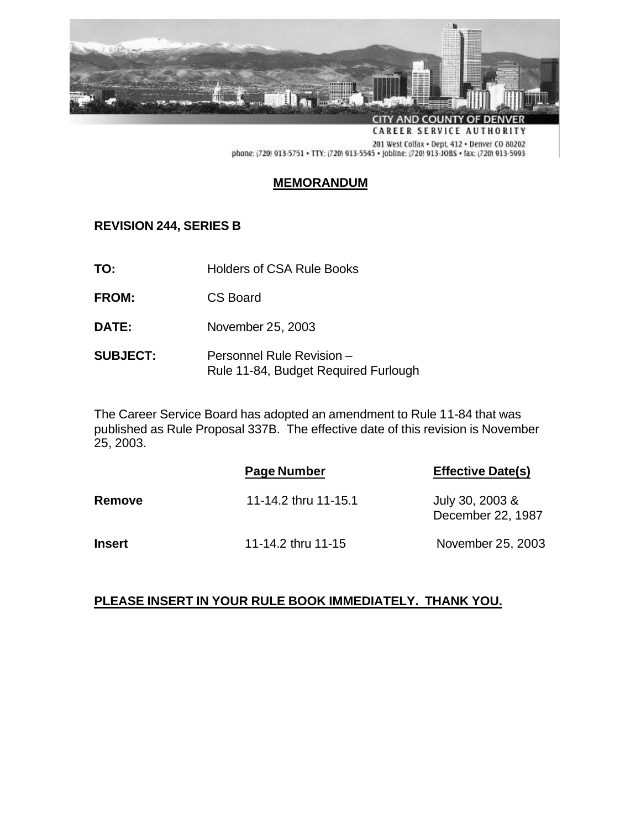

201 West Colfax . Dept. 412 . Denver CO 80202 phone: (720) 913-5751 · TTY: (720) 913-5545 · Jobline: (720) 913-JOBS · fax: (720) 913-5993

## **MEMORANDUM**

## **REVISION 244, SERIES B**

- **TO:** Holders of CSA Rule Books
- **FROM:** CS Board
- **DATE:** November 25, 2003
- **SUBJECT:** Personnel Rule Revision Rule 11-84, Budget Required Furlough

The Career Service Board has adopted an amendment to Rule 11-84 that was published as Rule Proposal 337B. The effective date of this revision is November 25, 2003.

|               | Page Number          | <b>Effective Date(s)</b>             |
|---------------|----------------------|--------------------------------------|
| Remove        | 11-14.2 thru 11-15.1 | July 30, 2003 &<br>December 22, 1987 |
| <b>Insert</b> | 11-14.2 thru 11-15   | November 25, 2003                    |

## **PLEASE INSERT IN YOUR RULE BOOK IMMEDIATELY. THANK YOU.**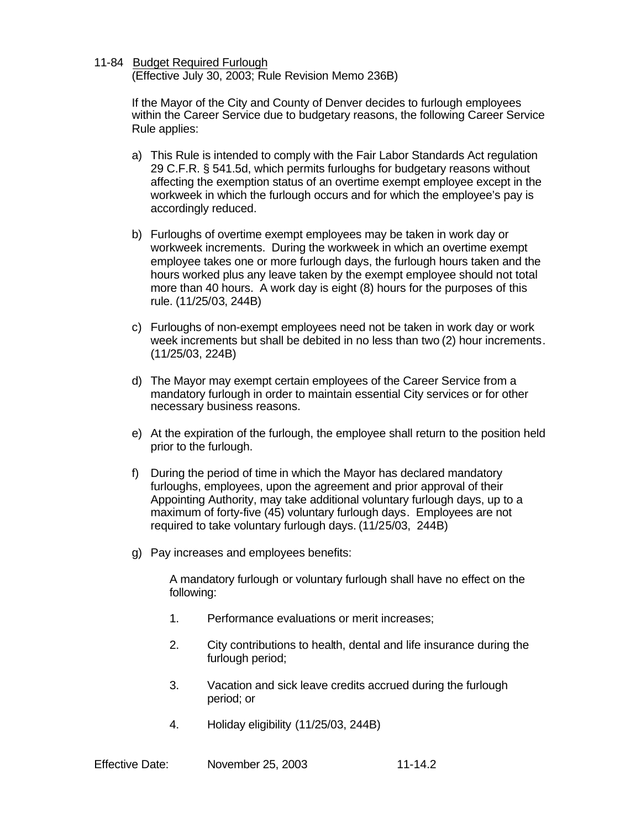## 11-84 Budget Required Furlough

(Effective July 30, 2003; Rule Revision Memo 236B)

If the Mayor of the City and County of Denver decides to furlough employees within the Career Service due to budgetary reasons, the following Career Service Rule applies:

- a) This Rule is intended to comply with the Fair Labor Standards Act regulation 29 C.F.R. § 541.5d, which permits furloughs for budgetary reasons without affecting the exemption status of an overtime exempt employee except in the workweek in which the furlough occurs and for which the employee's pay is accordingly reduced.
- b) Furloughs of overtime exempt employees may be taken in work day or workweek increments. During the workweek in which an overtime exempt employee takes one or more furlough days, the furlough hours taken and the hours worked plus any leave taken by the exempt employee should not total more than 40 hours. A work day is eight (8) hours for the purposes of this rule. (11/25/03, 244B)
- c) Furloughs of non-exempt employees need not be taken in work day or work week increments but shall be debited in no less than two (2) hour increments. (11/25/03, 224B)
- d) The Mayor may exempt certain employees of the Career Service from a mandatory furlough in order to maintain essential City services or for other necessary business reasons.
- e) At the expiration of the furlough, the employee shall return to the position held prior to the furlough.
- f) During the period of time in which the Mayor has declared mandatory furloughs, employees, upon the agreement and prior approval of their Appointing Authority, may take additional voluntary furlough days, up to a maximum of forty-five (45) voluntary furlough days. Employees are not required to take voluntary furlough days. (11/25/03, 244B)
- g) Pay increases and employees benefits:

A mandatory furlough or voluntary furlough shall have no effect on the following:

- 1. Performance evaluations or merit increases;
- 2. City contributions to health, dental and life insurance during the furlough period;
- 3. Vacation and sick leave credits accrued during the furlough period; or
- 4. Holiday eligibility (11/25/03, 244B)